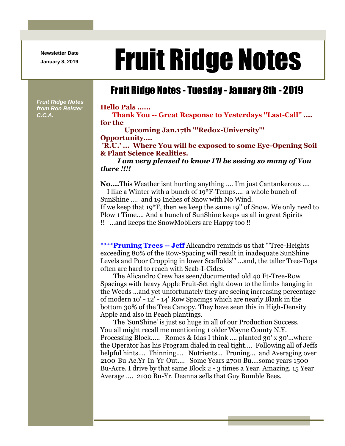**Newsletter Date**

*Fruit Ridge Notes from Ron Reister* 

*C.C.A.*

## Newsletter Date **Fruit Ridge Notes**

## Fruit Ridge Notes - Tuesday - January 8th - 2019

**Hello Pals ......**

**Thank You -- Great Response to Yesterdays ''Last-Call'' .... for the**

**Upcoming Jan.17th '''Redox-University''' Opportunity....**

**'R.U.' ... Where You will be exposed to some Eye-Opening Soil & Plant Science Realities.**

*I am very pleased to know I'll be seeing so many of You there !!!!*

**No....**This Weather isnt hurting anything .... I'm just Cantankerous ....

I like a Winter with a bunch of 19\*F-Temps.... a whole bunch of SunShine .... and 19 Inches of Snow with No Wind.

If we keep that 19\*F, then we keep the same 19'' of Snow. We only need to Plow 1 Time.... And a bunch of SunShine keeps us all in great Spirits !! ...and keeps the SnowMobilers are Happy too !!

**\*\*\*\*Pruning Trees -- Jeff** Alicandro reminds us that '''Tree-Heights exceeding 80% of the Row-Spacing will result in inadequate SunShine Levels and Poor Cropping in lower Scaffolds''' ...and, the taller Tree-Tops often are hard to reach with Scab-I-Cides.

The Alicandro Crew has seen/documented old 40 Ft-Tree-Row Spacings with heavy Apple Fruit-Set right down to the limbs hanging in the Weeds ...and yet unfortunately they are seeing increasing percentage of modern 10' - 12' - 14' Row Spacings which are nearly Blank in the bottom 30% of the Tree Canopy. They have seen this in High-Density Apple and also in Peach plantings.

The 'SunShine' is just so huge in all of our Production Success. You all might recall me mentioning 1 older Wayne County N.Y. Processing Block..... Romes & Idas I think .... planted 30' x 30'...where the Operator has his Program dialed in real tight.... Following all of Jeffs helpful hints.... Thinning.... Nutrients... Pruning... and Averaging over 2100-Bu-Ac.Yr-In-Yr-Out.... Some Years 2700 Bu....some years 1500 Bu-Acre. I drive by that same Block 2 - 3 times a Year. Amazing. 15 Year Average .... 2100 Bu-Yr. Deanna sells that Guy Bumble Bees.